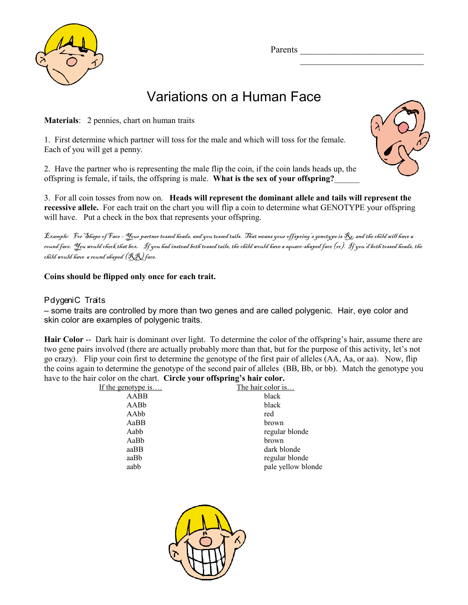Parents  $\frac{1}{2}$ 



## Variations on a Human Face

**Materials**: 2 pennies, chart on human traits

1. First determine which partner will toss for the male and which will toss for the female. Each of you will get a penny.

2. Have the partner who is representing the male flip the coin, if the coin lands heads up, the offspring is female, if tails, the offspring is male. **What is the sex of your offspring?**\_\_\_\_\_\_



 $\mathcal{L}=\mathcal{L}=\mathcal{L}=\mathcal{L}=\mathcal{L}=\mathcal{L}=\mathcal{L}=\mathcal{L}=\mathcal{L}=\mathcal{L}=\mathcal{L}=\mathcal{L}=\mathcal{L}=\mathcal{L}=\mathcal{L}=\mathcal{L}=\mathcal{L}=\mathcal{L}=\mathcal{L}=\mathcal{L}=\mathcal{L}=\mathcal{L}=\mathcal{L}=\mathcal{L}=\mathcal{L}=\mathcal{L}=\mathcal{L}=\mathcal{L}=\mathcal{L}=\mathcal{L}=\mathcal{L}=\mathcal{L}=\mathcal{L}=\mathcal{L}=\mathcal{L}=\mathcal{L}=\mathcal{$ 

3. For all coin tosses from now on. **Heads will represent the dominant allele and tails will represent the recessive allele.** For each trait on the chart you will flip a coin to determine what GENOTYPE your offspring will have. Put a check in the box that represents your offspring.

Example: For Shape of Face - Your partner tossed heads, and you tossed tails. That means your offspring's genotype is  $\mathcal{R}_\mathcal{E}$  and the child will have a round face. You would check that box. If you had instead both tossed tails, the child would have a square-shaped face (rr). If you'd both tossed heads, the child would have a round shaped (RR) face.

**Coins should be flipped only once for each trait.** 

## PdygeniC Traits

– some traits are controlled by more than two genes and are called polygenic. Hair, eye color and skin color are examples of polygenic traits.

**Hair Color** -- Dark hair is dominant over light. To determine the color of the offspring's hair, assume there are two gene pairs involved (there are actually probably more than that, but for the purpose of this activity, let's not go crazy). Flip your coin first to determine the genotype of the first pair of alleles (AA, Aa, or aa). Now, flip the coins again to determine the genotype of the second pair of alleles (BB, Bb, or bb). Match the genotype you have to the hair color on the chart. **Circle your offspring's hair color.**

| If the genotype is | The hair color is  |
|--------------------|--------------------|
| AABB               | black              |
| AABb               | black              |
| AAbb               | red                |
| AaBB               | brown              |
| Aabb               | regular blonde     |
| AaBb               | brown              |
| aaBB               | dark blonde        |
| aaBb               | regular blonde     |
| aabb               | pale yellow blonde |
|                    |                    |

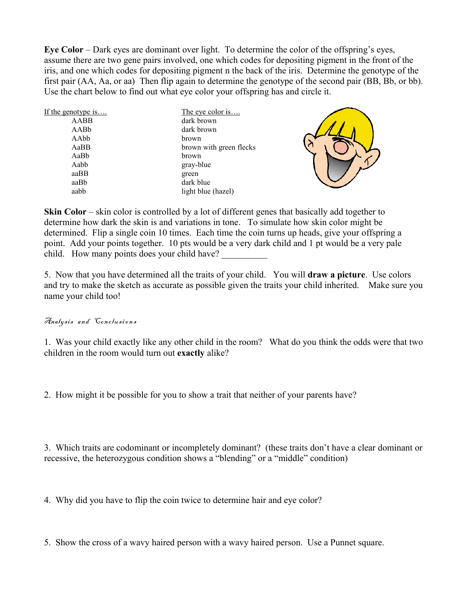**Eye Color** – Dark eyes are dominant over light. To determine the color of the offspring's eyes, assume there are two gene pairs involved, one which codes for depositing pigment in the front of the iris, and one which codes for depositing pigment n the back of the iris. Determine the genotype of the first pair (AA, Aa, or aa) Then flip again to determine the genotype of the second pair (BB, Bb, or bb). Use the chart below to find out what eye color your offspring has and circle it.

| If the genotype is | The eye color is        |  |  |
|--------------------|-------------------------|--|--|
| AABB               | dark brown              |  |  |
| AABb               | dark brown              |  |  |
| AAbb               | brown                   |  |  |
| AaBB               | brown with green flecks |  |  |
| AaBb               | brown                   |  |  |
| Aabb               | gray-blue               |  |  |
| aaBB               | green                   |  |  |
| aaBb               | dark blue               |  |  |
| aabb               | light blue (hazel)      |  |  |



**Skin Color** – skin color is controlled by a lot of different genes that basically add together to determine how dark the skin is and variations in tone. To simulate how skin color might be determined. Flip a single coin 10 times. Each time the coin turns up heads, give your offspring a point. Add your points together. 10 pts would be a very dark child and 1 pt would be a very pale child. How many points does your child have?

5. Now that you have determined all the traits of your child. You will **draw a picture**. Use colors and try to make the sketch as accurate as possible given the traits your child inherited. Make sure you name your child too!

## Analysis and Conclusions

1. Was your child exactly like any other child in the room? What do you think the odds were that two children in the room would turn out **exactly** alike?

2. How might it be possible for you to show a trait that neither of your parents have?

3. Which traits are codominant or incompletely dominant? (these traits don't have a clear dominant or recessive, the heterozygous condition shows a "blending" or a "middle" condition)

4. Why did you have to flip the coin twice to determine hair and eye color?

5. Show the cross of a wavy haired person with a wavy haired person. Use a Punnet square.